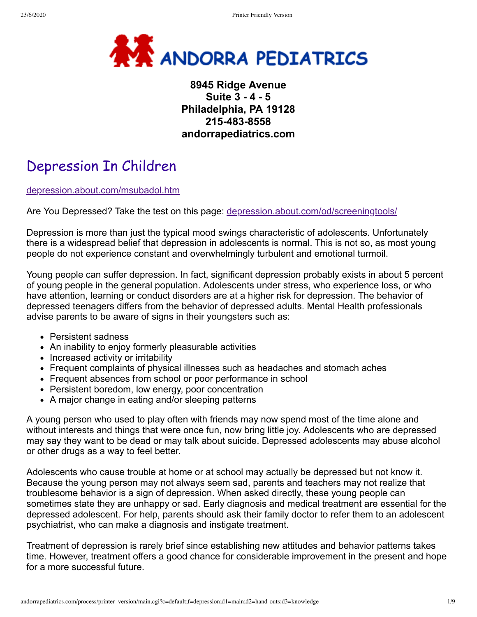

# **8945 Ridge Avenue Suite 3 - 4 - 5 Philadelphia, PA 19128 215-483-8558 andorrapediatrics.com**

# Depression In Children

depression.about.com/msubadol.htm

Are You Depressed? Take the test on this page: depression.about.com/od/screeningtools/

Depression is more than just the typical mood swings characteristic of adolescents. Unfortunately there is a widespread belief that depression in adolescents is normal. This is not so, as most young people do not experience constant and overwhelmingly turbulent and emotional turmoil.

Young people can suffer depression. In fact, significant depression probably exists in about 5 percent of young people in the general population. Adolescents under stress, who experience loss, or who have attention, learning or conduct disorders are at a higher risk for depression. The behavior of depressed teenagers differs from the behavior of depressed adults. Mental Health professionals advise parents to be aware of signs in their youngsters such as:

- Persistent sadness
- An inability to enjoy formerly pleasurable activities
- Increased activity or irritability
- Frequent complaints of physical illnesses such as headaches and stomach aches
- Frequent absences from school or poor performance in school
- Persistent boredom, low energy, poor concentration
- A major change in eating and/or sleeping patterns

A young person who used to play often with friends may now spend most of the time alone and without interests and things that were once fun, now bring little joy. Adolescents who are depressed may say they want to be dead or may talk about suicide. Depressed adolescents may abuse alcohol or other drugs as a way to feel better.

Adolescents who cause trouble at home or at school may actually be depressed but not know it. Because the young person may not always seem sad, parents and teachers may not realize that troublesome behavior is a sign of depression. When asked directly, these young people can sometimes state they are unhappy or sad. Early diagnosis and medical treatment are essential for the depressed adolescent. For help, parents should ask their family doctor to refer them to an adolescent psychiatrist, who can make a diagnosis and instigate treatment.

Treatment of depression is rarely brief since establishing new attitudes and behavior patterns takes time. However, treatment offers a good chance for considerable improvement in the present and hope for a more successful future.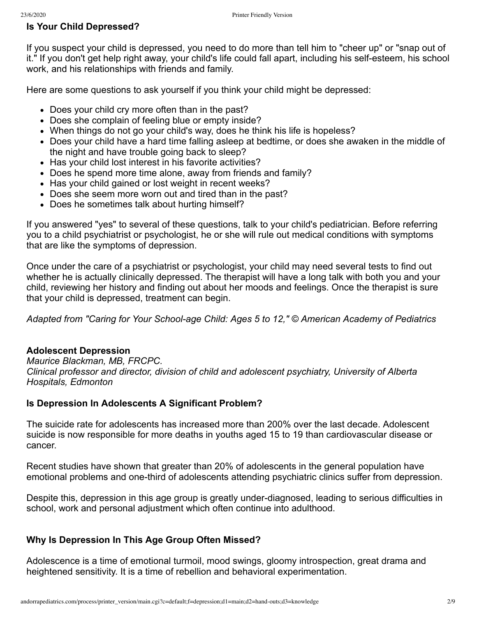#### **Is Your Child Depressed?**

If you suspect your child is depressed, you need to do more than tell him to "cheer up" or "snap out of it." If you don't get help right away, your child's life could fall apart, including his self-esteem, his school work, and his relationships with friends and family.

Here are some questions to ask yourself if you think your child might be depressed:

- Does your child cry more often than in the past?
- Does she complain of feeling blue or empty inside?
- When things do not go your child's way, does he think his life is hopeless?
- Does your child have a hard time falling asleep at bedtime, or does she awaken in the middle of the night and have trouble going back to sleep?
- Has your child lost interest in his favorite activities?
- Does he spend more time alone, away from friends and family?
- Has your child gained or lost weight in recent weeks?
- Does she seem more worn out and tired than in the past?
- Does he sometimes talk about hurting himself?

If you answered "yes" to several of these questions, talk to your child's pediatrician. Before referring you to a child psychiatrist or psychologist, he or she will rule out medical conditions with symptoms that are like the symptoms of depression.

Once under the care of a psychiatrist or psychologist, your child may need several tests to find out whether he is actually clinically depressed. The therapist will have a long talk with both you and your child, reviewing her history and finding out about her moods and feelings. Once the therapist is sure that your child is depressed, treatment can begin.

*Adapted from "Caring for Your School-age Child: Ages 5 to 12," © American Academy of Pediatrics*

#### **Adolescent Depression**

*Maurice Blackman, MB, FRCPC. Clinical professor and director, division of child and adolescent psychiatry, University of Alberta Hospitals, Edmonton*

## **Is Depression In Adolescents A Significant Problem?**

The suicide rate for adolescents has increased more than 200% over the last decade. Adolescent suicide is now responsible for more deaths in youths aged 15 to 19 than cardiovascular disease or cancer.

Recent studies have shown that greater than 20% of adolescents in the general population have emotional problems and one-third of adolescents attending psychiatric clinics suffer from depression.

Despite this, depression in this age group is greatly under-diagnosed, leading to serious difficulties in school, work and personal adjustment which often continue into adulthood.

## **Why Is Depression In This Age Group Often Missed?**

Adolescence is a time of emotional turmoil, mood swings, gloomy introspection, great drama and heightened sensitivity. It is a time of rebellion and behavioral experimentation.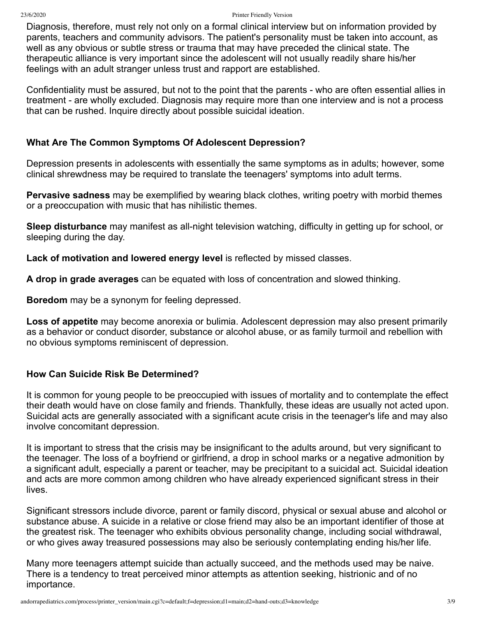Diagnosis, therefore, must rely not only on a formal clinical interview but on information provided by parents, teachers and community advisors. The patient's personality must be taken into account, as well as any obvious or subtle stress or trauma that may have preceded the clinical state. The therapeutic alliance is very important since the adolescent will not usually readily share his/her feelings with an adult stranger unless trust and rapport are established.

Confidentiality must be assured, but not to the point that the parents - who are often essential allies in treatment - are wholly excluded. Diagnosis may require more than one interview and is not a process that can be rushed. Inquire directly about possible suicidal ideation.

## **What Are The Common Symptoms Of Adolescent Depression?**

Depression presents in adolescents with essentially the same symptoms as in adults; however, some clinical shrewdness may be required to translate the teenagers' symptoms into adult terms.

**Pervasive sadness** may be exemplified by wearing black clothes, writing poetry with morbid themes or a preoccupation with music that has nihilistic themes.

**Sleep disturbance** may manifest as all-night television watching, difficulty in getting up for school, or sleeping during the day.

**Lack of motivation and lowered energy level** is reflected by missed classes.

**A drop in grade averages** can be equated with loss of concentration and slowed thinking.

**Boredom** may be a synonym for feeling depressed.

**Loss of appetite** may become anorexia or bulimia. Adolescent depression may also present primarily as a behavior or conduct disorder, substance or alcohol abuse, or as family turmoil and rebellion with no obvious symptoms reminiscent of depression.

# **How Can Suicide Risk Be Determined?**

It is common for young people to be preoccupied with issues of mortality and to contemplate the effect their death would have on close family and friends. Thankfully, these ideas are usually not acted upon. Suicidal acts are generally associated with a significant acute crisis in the teenager's life and may also involve concomitant depression.

It is important to stress that the crisis may be insignificant to the adults around, but very significant to the teenager. The loss of a boyfriend or girlfriend, a drop in school marks or a negative admonition by a significant adult, especially a parent or teacher, may be precipitant to a suicidal act. Suicidal ideation and acts are more common among children who have already experienced significant stress in their lives.

Significant stressors include divorce, parent or family discord, physical or sexual abuse and alcohol or substance abuse. A suicide in a relative or close friend may also be an important identifier of those at the greatest risk. The teenager who exhibits obvious personality change, including social withdrawal, or who gives away treasured possessions may also be seriously contemplating ending his/her life.

Many more teenagers attempt suicide than actually succeed, and the methods used may be naive. There is a tendency to treat perceived minor attempts as attention seeking, histrionic and of no importance.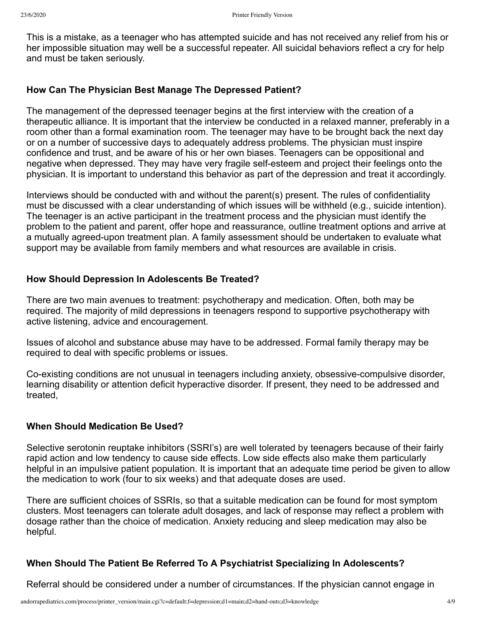This is a mistake, as a teenager who has attempted suicide and has not received any relief from his or her impossible situation may well be a successful repeater. All suicidal behaviors reflect a cry for help and must be taken seriously.

## **How Can The Physician Best Manage The Depressed Patient?**

The management of the depressed teenager begins at the first interview with the creation of a therapeutic alliance. It is important that the interview be conducted in a relaxed manner, preferably in a room other than a formal examination room. The teenager may have to be brought back the next day or on a number of successive days to adequately address problems. The physician must inspire confidence and trust, and be aware of his or her own biases. Teenagers can be oppositional and negative when depressed. They may have very fragile self-esteem and project their feelings onto the physician. It is important to understand this behavior as part of the depression and treat it accordingly.

Interviews should be conducted with and without the parent(s) present. The rules of confidentiality must be discussed with a clear understanding of which issues will be withheld (e.g., suicide intention). The teenager is an active participant in the treatment process and the physician must identify the problem to the patient and parent, offer hope and reassurance, outline treatment options and arrive at a mutually agreed-upon treatment plan. A family assessment should be undertaken to evaluate what support may be available from family members and what resources are available in crisis.

# **How Should Depression In Adolescents Be Treated?**

There are two main avenues to treatment: psychotherapy and medication. Often, both may be required. The majority of mild depressions in teenagers respond to supportive psychotherapy with active listening, advice and encouragement.

Issues of alcohol and substance abuse may have to be addressed. Formal family therapy may be required to deal with specific problems or issues.

Co-existing conditions are not unusual in teenagers including anxiety, obsessive-compulsive disorder, learning disability or attention deficit hyperactive disorder. If present, they need to be addressed and treated,

# **When Should Medication Be Used?**

Selective serotonin reuptake inhibitors (SSRI's) are well tolerated by teenagers because of their fairly rapid action and low tendency to cause side effects. Low side effects also make them particularly helpful in an impulsive patient population. It is important that an adequate time period be given to allow the medication to work (four to six weeks) and that adequate doses are used.

There are sufficient choices of SSRIs, so that a suitable medication can be found for most symptom clusters. Most teenagers can tolerate adult dosages, and lack of response may reflect a problem with dosage rather than the choice of medication. Anxiety reducing and sleep medication may also be helpful.

# **When Should The Patient Be Referred To A Psychiatrist Specializing In Adolescents?**

Referral should be considered under a number of circumstances. If the physician cannot engage in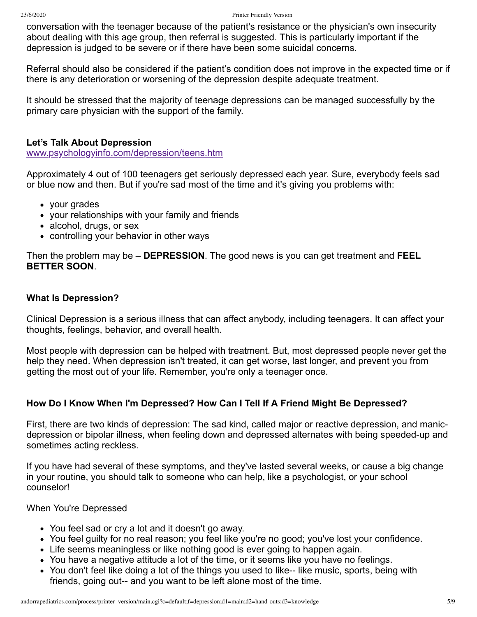conversation with the teenager because of the patient's resistance or the physician's own insecurity about dealing with this age group, then referral is suggested. This is particularly important if the depression is judged to be severe or if there have been some suicidal concerns.

Referral should also be considered if the patient's condition does not improve in the expected time or if there is any deterioration or worsening of the depression despite adequate treatment.

It should be stressed that the majority of teenage depressions can be managed successfully by the primary care physician with the support of the family.

#### **Let's Talk About Depression**

www.psychologyinfo.com/depression/teens.htm

Approximately 4 out of 100 teenagers get seriously depressed each year. Sure, everybody feels sad or blue now and then. But if you're sad most of the time and it's giving you problems with:

- your grades
- your relationships with your family and friends
- alcohol, drugs, or sex
- controlling your behavior in other ways

Then the problem may be – **DEPRESSION**. The good news is you can get treatment and **FEEL BETTER SOON**.

#### **What Is Depression?**

Clinical Depression is a serious illness that can affect anybody, including teenagers. It can affect your thoughts, feelings, behavior, and overall health.

Most people with depression can be helped with treatment. But, most depressed people never get the help they need. When depression isn't treated, it can get worse, last longer, and prevent you from getting the most out of your life. Remember, you're only a teenager once.

## **How Do I Know When I'm Depressed? How Can I Tell If A Friend Might Be Depressed?**

First, there are two kinds of depression: The sad kind, called major or reactive depression, and manicdepression or bipolar illness, when feeling down and depressed alternates with being speeded-up and sometimes acting reckless.

If you have had several of these symptoms, and they've lasted several weeks, or cause a big change in your routine, you should talk to someone who can help, like a psychologist, or your school counselor!

When You're Depressed

- You feel sad or cry a lot and it doesn't go away.
- You feel guilty for no real reason; you feel like you're no good; you've lost your confidence.
- Life seems meaningless or like nothing good is ever going to happen again.
- You have a negative attitude a lot of the time, or it seems like you have no feelings.
- You don't feel like doing a lot of the things you used to like-- like music, sports, being with friends, going out-- and you want to be left alone most of the time.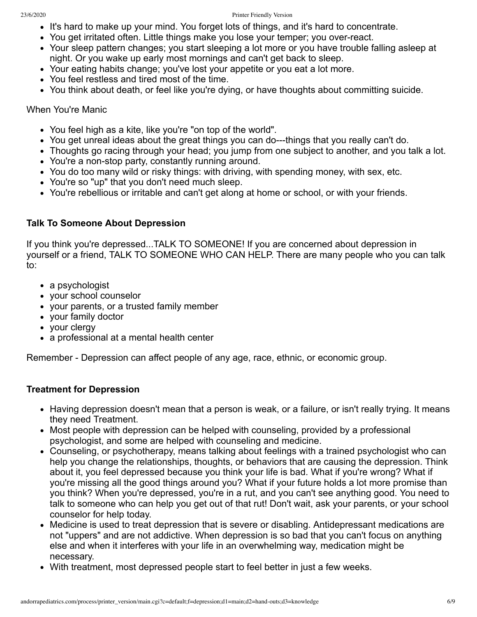- It's hard to make up your mind. You forget lots of things, and it's hard to concentrate.
- You get irritated often. Little things make you lose your temper; you over-react.
- Your sleep pattern changes; you start sleeping a lot more or you have trouble falling asleep at night. Or you wake up early most mornings and can't get back to sleep.
- Your eating habits change; you've lost your appetite or you eat a lot more.
- You feel restless and tired most of the time.
- You think about death, or feel like you're dying, or have thoughts about committing suicide.

#### When You're Manic

- You feel high as a kite, like you're "on top of the world".
- You get unreal ideas about the great things you can do---things that you really can't do.
- Thoughts go racing through your head; you jump from one subject to another, and you talk a lot.
- You're a non-stop party, constantly running around.
- You do too many wild or risky things: with driving, with spending money, with sex, etc.
- You're so "up" that you don't need much sleep.
- You're rebellious or irritable and can't get along at home or school, or with your friends.

#### **Talk To Someone About Depression**

If you think you're depressed...TALK TO SOMEONE! If you are concerned about depression in yourself or a friend, TALK TO SOMEONE WHO CAN HELP. There are many people who you can talk to:

- a psychologist
- your school counselor
- your parents, or a trusted family member
- your family doctor
- your clergy
- a professional at a mental health center

Remember - Depression can affect people of any age, race, ethnic, or economic group.

#### **Treatment for Depression**

- Having depression doesn't mean that a person is weak, or a failure, or isn't really trying. It means they need Treatment.
- Most people with depression can be helped with counseling, provided by a professional psychologist, and some are helped with counseling and medicine.
- Counseling, or psychotherapy, means talking about feelings with a trained psychologist who can help you change the relationships, thoughts, or behaviors that are causing the depression. Think about it, you feel depressed because you think your life is bad. What if you're wrong? What if you're missing all the good things around you? What if your future holds a lot more promise than you think? When you're depressed, you're in a rut, and you can't see anything good. You need to talk to someone who can help you get out of that rut! Don't wait, ask your parents, or your school counselor for help today.
- Medicine is used to treat depression that is severe or disabling. Antidepressant medications are not "uppers" and are not addictive. When depression is so bad that you can't focus on anything else and when it interferes with your life in an overwhelming way, medication might be necessary.
- With treatment, most depressed people start to feel better in just a few weeks.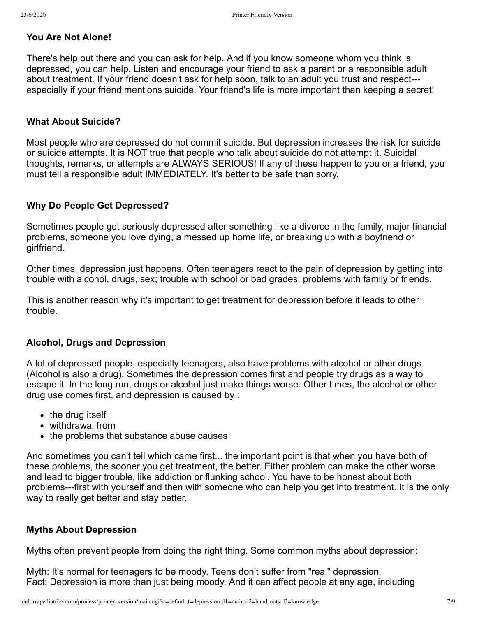# **You Are Not Alone!**

There's help out there and you can ask for help. And if you know someone whom you think is depressed, you can help. Listen and encourage your friend to ask a parent or a responsible adult about treatment. If your friend doesn't ask for help soon, talk to an adult you trust and respect-- especially if your friend mentions suicide. Your friend's life is more important than keeping a secret!

## **What About Suicide?**

Most people who are depressed do not commit suicide. But depression increases the risk for suicide or suicide attempts. It is NOT true that people who talk about suicide do not attempt it. Suicidal thoughts, remarks, or attempts are ALWAYS SERIOUS! If any of these happen to you or a friend, you must tell a responsible adult IMMEDIATELY. It's better to be safe than sorry.

# **Why Do People Get Depressed?**

Sometimes people get seriously depressed after something like a divorce in the family, major financial problems, someone you love dying, a messed up home life, or breaking up with a boyfriend or girlfriend.

Other times, depression just happens. Often teenagers react to the pain of depression by getting into trouble with alcohol, drugs, sex; trouble with school or bad grades; problems with family or friends.

This is another reason why it's important to get treatment for depression before it leads to other trouble.

## **Alcohol, Drugs and Depression**

A lot of depressed people, especially teenagers, also have problems with alcohol or other drugs (Alcohol is also a drug). Sometimes the depression comes first and people try drugs as a way to escape it. In the long run, drugs or alcohol just make things worse. Other times, the alcohol or other drug use comes first, and depression is caused by :

- $\bullet$  the drug itself
- withdrawal from
- the problems that substance abuse causes

And sometimes you can't tell which came first... the important point is that when you have both of these problems, the sooner you get treatment, the better. Either problem can make the other worse and lead to bigger trouble, like addiction or flunking school. You have to be honest about both problems---first with yourself and then with someone who can help you get into treatment. It is the only way to really get better and stay better.

# **Myths About Depression**

Myths often prevent people from doing the right thing. Some common myths about depression:

Myth: It's normal for teenagers to be moody. Teens don't suffer from "real" depression. Fact: Depression is more than just being moody. And it can affect people at any age, including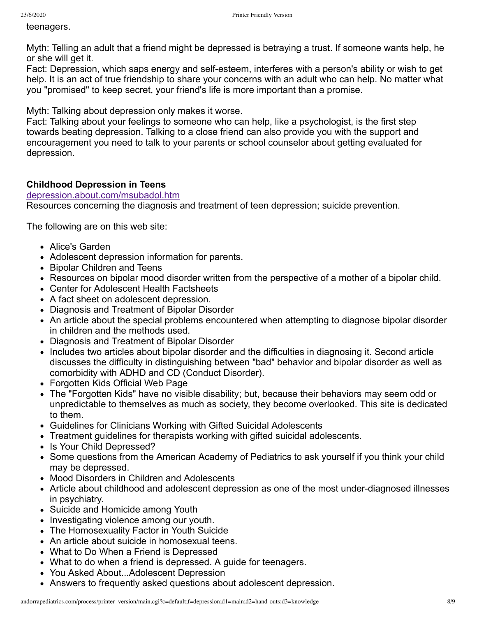teenagers.

Myth: Telling an adult that a friend might be depressed is betraying a trust. If someone wants help, he or she will get it.

Fact: Depression, which saps energy and self-esteem, interferes with a person's ability or wish to get help. It is an act of true friendship to share your concerns with an adult who can help. No matter what you "promised" to keep secret, your friend's life is more important than a promise.

Myth: Talking about depression only makes it worse.

Fact: Talking about your feelings to someone who can help, like a psychologist, is the first step towards beating depression. Talking to a close friend can also provide you with the support and encouragement you need to talk to your parents or school counselor about getting evaluated for depression.

# **Childhood Depression in Teens**

#### depression.about.com/msubadol.htm

Resources concerning the diagnosis and treatment of teen depression; suicide prevention.

The following are on this web site:

- Alice's Garden
- Adolescent depression information for parents.
- Bipolar Children and Teens
- Resources on bipolar mood disorder written from the perspective of a mother of a bipolar child.
- Center for Adolescent Health Factsheets
- A fact sheet on adolescent depression.
- Diagnosis and Treatment of Bipolar Disorder
- An article about the special problems encountered when attempting to diagnose bipolar disorder in children and the methods used.
- Diagnosis and Treatment of Bipolar Disorder
- Includes two articles about bipolar disorder and the difficulties in diagnosing it. Second article discusses the difficulty in distinguishing between "bad" behavior and bipolar disorder as well as comorbidity with ADHD and CD (Conduct Disorder).
- Forgotten Kids Official Web Page
- The "Forgotten Kids" have no visible disability; but, because their behaviors may seem odd or unpredictable to themselves as much as society, they become overlooked. This site is dedicated to them.
- Guidelines for Clinicians Working with Gifted Suicidal Adolescents
- Treatment guidelines for therapists working with gifted suicidal adolescents.
- Is Your Child Depressed?
- Some questions from the American Academy of Pediatrics to ask yourself if you think your child may be depressed.
- Mood Disorders in Children and Adolescents
- Article about childhood and adolescent depression as one of the most under-diagnosed illnesses in psychiatry.
- Suicide and Homicide among Youth
- Investigating violence among our youth.
- The Homosexuality Factor in Youth Suicide
- An article about suicide in homosexual teens.
- What to Do When a Friend is Depressed
- What to do when a friend is depressed. A guide for teenagers.
- You Asked About...Adolescent Depression
- Answers to frequently asked questions about adolescent depression.